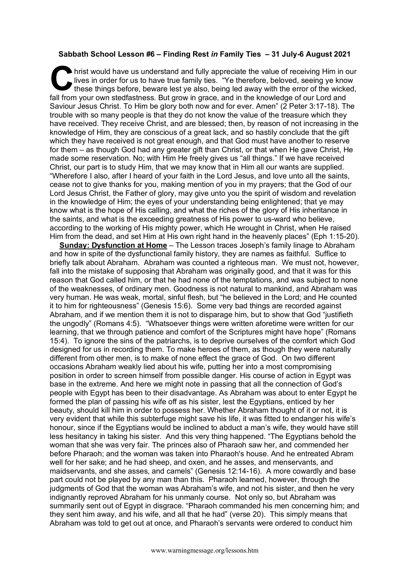## **Sabbath School Lesson #6 – Finding Rest** *in* **Family Ties – 31 July-6 August 2021**

hrist would have us understand and fully appreciate the value of receiving Him in our lives in order for us to have true family ties. "Ye therefore, beloved, seeing ye know these things before, beware lest ye also, being led away with the error of the wicked, fall from your own stedfastness. But grow in grace, and in the knowledge of our Lord and Saviour Jesus Christ. To Him be glory both now and for ever. Amen" (2 Peter 3:17-18). The trouble with so many people is that they do not know the value of the treasure which they have received. They receive Christ, and are blessed; then, by reason of not increasing in the knowledge of Him, they are conscious of a great lack, and so hastily conclude that the gift which they have received is not great enough, and that God must have another to reserve for them – as though God had any greater gift than Christ, or that when He gave Christ, He made some reservation. No; with Him He freely gives us "all things." If we have received Christ, our part is to study Him, that we may know that in Him all our wants are supplied. "Wherefore I also, after I heard of your faith in the Lord Jesus, and love unto all the saints, cease not to give thanks for you, making mention of you in my prayers; that the God of our Lord Jesus Christ, the Father of glory, may give unto you the spirit of wisdom and revelation in the knowledge of Him; the eyes of your understanding being enlightened; that ye may know what is the hope of His calling, and what the riches of the glory of His inheritance in the saints, and what is the exceeding greatness of His power to us-ward who believe, according to the working of His mighty power, which He wrought in Christ, when He raised Him from the dead, and set Him at His own right hand in the heavenly places" (Eph 1:15-20). **C** hris

**Sunday: Dysfunction at Home** – The Lesson traces Joseph's family linage to Abraham and how in spite of the dysfunctional family history, they are names as faithful. Suffice to briefly talk about Abraham. Abraham was counted a righteous man. We must not, however, fall into the mistake of supposing that Abraham was originally good, and that it was for this reason that God called him, or that he had none of the temptations, and was subject to none of the weaknesses, of ordinary men. Goodness is not natural to mankind, and Abraham was very human. He was weak, mortal, sinful flesh, but "he believed in the Lord; and He counted it to him for righteousness" (Genesis 15:6). Some very bad things are recorded against Abraham, and if we mention them it is not to disparage him, but to show that God "justifieth the ungodly" (Romans 4:5). "Whatsoever things were written aforetime were written for our learning, that we through patience and comfort of the Scriptures might have hope" (Romans 15:4). To ignore the sins of the patriarchs, is to deprive ourselves of the comfort which God designed for us in recording them. To make heroes of them, as though they were naturally different from other men, is to make of none effect the grace of God. On two different occasions Abraham weakly lied about his wife, putting her into a most compromising position in order to screen himself from possible danger. His course of action in Egypt was base in the extreme. And here we might note in passing that all the connection of God's people with Egypt has been to their disadvantage. As Abraham was about to enter Egypt he formed the plan of passing his wife off as his sister, lest the Egyptians, enticed by her beauty, should kill him in order to possess her. Whether Abraham thought of it or not, it is very evident that while this subterfuge might save his life, it was fitted to endanger his wife's honour, since if the Egyptians would be inclined to abduct a man's wife, they would have still less hesitancy in taking his sister. And this very thing happened. "The Egyptians behold the woman that she was very fair. The princes also of Pharaoh saw her, and commended her before Pharaoh; and the woman was taken into Pharaoh's house. And he entreated Abram well for her sake; and he had sheep, and oxen, and he asses, and menservants, and maidservants, and she asses, and camels" (Genesis 12:14-16). A more cowardly and base part could not be played by any man than this. Pharaoh learned, however, through the judgments of God that the woman was Abraham's wife, and not his sister, and then he very indignantly reproved Abraham for his unmanly course. Not only so, but Abraham was summarily sent out of Egypt in disgrace. "Pharaoh commanded his men concerning him; and they sent him away, and his wife, and all that he had" (verse 20). This simply means that Abraham was told to get out at once, and Pharaoh's servants were ordered to conduct him